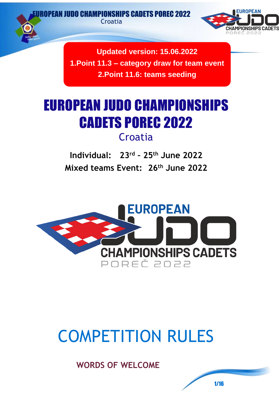DO CHAMPIONSHIPS CADETS POREC 2022

**Croatia** 



**Updated version: 15.06.2022 1.Point 11.3 – category draw for team event 2.Point 11.6: teams seeding**

# EUROPEAN JUDO CHAMPIONSHIPS CADETS POREC 2022 **Croatia**

**Individual: 23rd – 25th June 2022 Mixed teams Event: 26th June 2022**



# COMPETITION RULES

**WORDS OF WELCOME**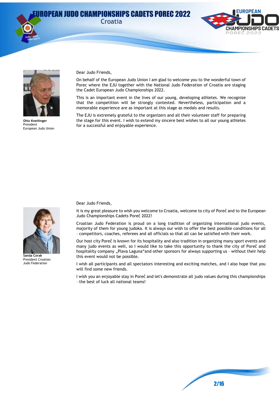Croatia







**Otto Kneitinger** President European Judo Union

Dear Judo Friends,

On behalf of the European Judo Union I am glad to welcome you to the wonderful town of Porec where the EJU together with the National Judo Federation of Croatia are staging the Cadet European Judo Championships 2022.

This is an important event in the lives of our young, developing athletes. We recognize that the competition will be strongly contested. Nevertheless, participation and a memorable experience are as important at this stage as medals and results.

The EJU is extremely grateful to the organizers and all their volunteer staff for preparing the stage for this event. I wish to extend my sincere best wishes to all our young athletes for a successful and enjoyable experience.



**Sanda Corak** President Croatian Judo Federation

Dear Judo Friends,

It is my great pleasure to wish you welcome to Croatia, welcome to city of Poreč and to the European Judo Championships Cadets Poreč 2022!

Croatian Judo Federation is proud on a long tradition of organizing international judo events, majority of them for young judoka. It is always our wish to offer the best possible conditions for all – competitors, coaches, referees and all officials so that all can be satisfied with their work.

Our host city Poreč is known for its hospitality and also tradition in organizing many sport events and many judo events as well, so I would like to take this opportunity to thank the city of Poreč and hospitality company "Plava Laguna"and other sponsors for always supporting us - without their help this event would not be possible.

I wish all participants and all spectators interesting and exciting matches, and I also hope that you will find some new friends.

I wish you an enjoyable stay in Poreč and let's demonstrate all judo values during this championships – the best of luck all national teams!

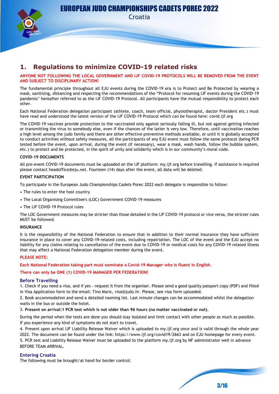

Croatia

## **1. Regulations to minimize COVID-19 related risks**

#### **ANYONE NOT FOLLOWING THE LOCAL GOVERNMENT AND IJF COVID-19 PROTOCOLS WILL BE REMOVED FROM THE EVENT AND SUBJECT TO DISCIPLINARY ACTION!**

The fundamental principle throughout all EJU events during the COVID-19 era is to Protect and Be Protected by wearing a mask, sanitising, distancing and respecting the recommendations of the "Protocol for resuming IJF events during the COVID-19 pandemic" hereafter referred to as the IJF COVID-19 Protocol. All participants have the mutual responsibility to protect each other.

Each National Federation delegation participant (athlete, coach, team official, physiotherapist, doctor President etc.) must have read and understood the latest version of the IJF COVID-19 Protocol which can be found here: covid.ijf.org

The COVID-19 vaccines provide protection to the vaccinated only against seriously falling ill, but not against getting infected or transmitting the virus to somebody else, even if the chances of the latter is very low. Therefore, until vaccination reaches a high level among the judo family and there are other effective preventive methods available, or until it is globally accepted to conduct activities without safety measures, all the participants of any EJU event must follow the same protocol (being PCR tested before the event, upon arrival, during the event (if necessary), wear a mask, wash hands, follow the bubble system, etc.) to protect and be protected, in the spirit of unity and solidarity which is in our community's moral code.

#### **COVID-19 DOCUMENTS**

All pre-event COVID-19 documents must be uploaded on the IJF platform: my.ijf.org before travelling. If assistance is required please contact headoffice@eju.net. Fourteen (14) days after the event, all data will be deleted.

#### **EVENT PARTICIPATION**

To participate in the European Judo Championships Cadets Porec 2022 each delegate is responsible to follow:

- The rules to enter the host country
- The Local Organising Committee's (LOC) Government COVID-19 measures
- The IJF COVID-19 Protocol rules

The LOC Government measures may be stricter than those detailed in the IJF COVID-19 protocol or vice versa, the stricter rules MUST be followed.

#### **INSURANCE**

It is the responsibility of the National Federation to ensure that in addition to their normal insurance they have sufficient insurance in place to cover any COVID-19-related costs, including repatriation. The LOC of the event and the EJU accept no liability for any claims relating to cancellation of the event due to COVID-19 or medical costs for any COVID-19 related illness that may affect a National Federation delegation member during the event.

#### **PLEASE NOTE:**

**Each National Federation taking part must nominate a Covid-19 Manager who is fluent in English.**

#### **There can only be ONE (1) COVID-19 MANAGER PER FEDERATION!**

#### **Before Travelling**

1. Check if you need a visa, and if yes - request it from the organiser. Please send a good quality passport copy (PDF) and filled in Visa Application form to the email: Tino Maric, visa@judo.hr. Please, see visa form uploaded.

2. Book accommodation and send a detailed rooming list. Last minute changes can be accommodated whilst the delegation waits in the bus or outside the hotel.

3. **Present on arrival:1 PCR test which is not older than 96 hours (no matter vaccinated or not).**

During the period when the tests are done you should stay isolated and limit contact with other people as much as possible. If you experience any kind of symptoms do not start to travel.

4. Present upon arrival IJF Liability Release Waiver which is uploaded to my.ijf.org once and is valid through the whole year 2022. The document can be found under the link: https://www.ijf.org/covid19/2663 and on EJU homepage for every event. 5. PCR test and Liability Release Waiver must be uploaded to the platform my.ijf.org by NF administrator well in advance BEFORE TEAM ARRIVAL**.**

#### **Entering Croatia**

The following must be brought/at hand for border control: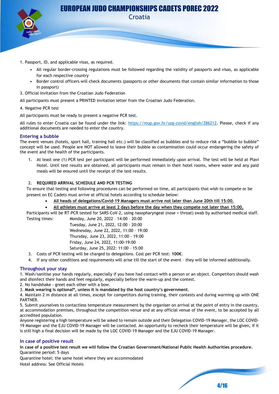

Croatia

- 1. Passport, ID, and applicable visas, as required.
	- All regular border-crossing regulations must be followed regarding the validity of passports and visas, as applicable for each respective country
	- Border control officers will check documents (passports or other documents that contain similar information to those in passport)
- 3. Official Invitation from the Croatian Judo Federation

All participants must present a PRINTED invitation letter from the Croatian Judo Federation.

#### 4. Negative PCR test

All participants must be ready to present a negative PCR test.

All rules to enter Croatia can be found under the link: [https://mup.gov.hr/uzg-covid/english/286212.](https://mup.gov.hr/uzg-covid/english/286212) Please, check if any additional documents are needed to enter the country.

#### **Entering a bubble**

The event venues (hotels, sport hall, training hall etc.) will be classified as bubbles and to reduce risk a "bubble to bubble" concept will be used. People are NOT allowed to leave their bubble as contamination could occur endangering the safety of the event and the health of the participants.

1. At least one (1) PCR test per participant will be performed immediately upon arrival. The test will be held at Plavi Hotel. Until test results are obtained, all participants must remain in their hotel rooms, where water and any paid meals will be ensured until the receipt of the test results.

#### 2. **REQUIRED ARRIVAL SCHEDULE AND PCR TESTING**

To ensure that testing and following procedures can be performed on time, all participants that wish to compete or be present on EC Cadets must arrive at official hotels according to schedule below:

- **All heads of delegations/Covid-19 Managers must arrive not later than June 20th till 15:00.**
- **All athletes must arrive at least 2 days before the day when they compete not later than 15:00.**

Participants will be RT-PCR tested for SARS-CoV-2, using nasopharyngeal (nose + throat) swab by authorised medical staff. Testing times: Monday, June 20, 2022 – 14:00 – 20:00

| ΣĒ. | MONGAY, JUNE ZU, ZUZZ - 14.00 - ZU.00   |
|-----|-----------------------------------------|
|     | Tuesday, June 21, 2022, 12:00 - 20:00   |
|     | Wednesday, June 22, 2022, 11:00 - 19:00 |
|     | Thursday, June 23, 2022, 11:00 - 19:00  |
|     | Friday, June 24, 2022, 11:00-19:00      |
|     | Saturday, June 25, 2022: 11:00 - 15:00  |

3. Costs of PCR testing will be charged to delegations. Cost per PCR test: **100€**.

4. If any other conditions and requirements will arise till the start of the event – they will be informed additionally.

#### **Throughout your stay**

1. Wash/sanitise your hands regularly, especially if you have had contact with a person or an object. Competitors should wash and disinfect their hands and feet regularly, especially before the warm-up and the contest.

2. No handshake - greet each other with a bow.

3. **Mask wearing is optional\*, unless it is mandated by the host country's government**.

4. Maintain 2 m distance at all times, except for competitors during training, their contests and during warming up with ONE PARTNER.

5. Submit yourselves to contactless temperature measurement by the organiser on arrival at the point of entry in the country, at accommodation premises, throughout the competition venue and at any official venue of the event, to be accepted by all accredited population.

Anyone registering a high temperature will be asked to remain outside and their Delegation COVID-19 Manager, the LOC COVID-19 Manager and the EJU COVID-19 Manager will be contacted. An opportunity to recheck their temperature will be given, if it is still high a final decision will be made by the LOC COVID-19 Manager and the EJU COVID-19 Manager.

#### **In case of positive result**

**In case of a positive test result we will follow the Croatian Government/National Public Health Authorities procedure.**  Quarantine period: 5 days

Quarantine hotel: the same hotel where they are accommodated Hotel address: See Official Hotels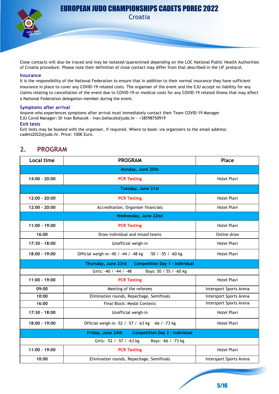

**Croatia** 

Close contacts will also be traced and may be isolated/quarantined depending on the LOC National Public Health Authorities of Croatia procedure. Please note their definition of close contact may differ from that described in the IJF protocol.

#### **Insurance**

It is the responsibility of the National Federation to ensure that in addition to their normal insurance they have sufficient insurance in place to cover any COVID-19-related costs. The organiser of the event and the EJU accept no liability for any claims relating to cancellation of the event due to COVID-19 or medical costs for any COVID-19 related illness that may affect a National Federation delegation member during the event.

#### **Symptoms after arrival**

Anyone who experiences symptoms after arrival must immediately contact their Team COVID-19 Manager EJU Covid Manager: Dr Ivan Bohacek - ivan.bohacek@judo.hr - +38598750919

#### **Exit tests**

Exit tests may be booked with the organiser, if required. Where to book: via organizers to the email address: cadets2022@judo.hr. Price: 100€ Euro.

## **2. PROGRAM**

| Local time                                                 | <b>PROGRAM</b>                                               | Place                   |  |
|------------------------------------------------------------|--------------------------------------------------------------|-------------------------|--|
| Monday, June 20th                                          |                                                              |                         |  |
| 14:00 - 20:00                                              | <b>PCR Testing</b>                                           | <b>Hotel Plavi</b>      |  |
|                                                            | Tuesday, June 21st                                           |                         |  |
| $12:00 - 20:00$                                            | <b>PCR Testing</b>                                           | Hotel Plavi             |  |
| $12:00 - 20:00$                                            | Accreditation, Organiser financials                          | Hotel Plavi             |  |
|                                                            | Wednesday, June 22nd                                         |                         |  |
| 11:00 - 19:00                                              | <b>PCR Testing</b>                                           | Hotel Plavi             |  |
| 16:00                                                      | Draw individual and mixed teams                              | Online draw             |  |
| 17:30 - 18:00                                              | Unofficial weigh-in                                          | <b>Hotel Plavi</b>      |  |
| $18:00 - 19:00$                                            | Official weigh-in -40 / -44 / -48 kg -50 / -55 / -60 kg      | <b>Hotel Plavi</b>      |  |
|                                                            | Thursday, June 23rd<br><b>Competition Day 1 - Individual</b> |                         |  |
|                                                            | Girls: -40 / -44 / -48<br>Boys: 50 / 55 / -60 kg             |                         |  |
| $11:00 - 19:00$                                            | <b>PCR Testing</b>                                           | Hotel Plavi             |  |
| 09:00                                                      | Meeting of the referees                                      | Intersport Sports Arena |  |
| 10:00                                                      | Elimination rounds, Repechage, Semifinals                    | Intersport Sports Arena |  |
| 16:00                                                      | <b>Final Block: Medal Contests</b>                           | Intersport Sports Arena |  |
| 17:30 - 18:00                                              | Unofficial weigh-in                                          | <b>Hotel Plavi</b>      |  |
| $18:00 - 19:00$                                            | Official weigh-in -52 / -57 / -63 kg -66 / -73 kg            | <b>Hotel Plavi</b>      |  |
| Friday, June 24th<br><b>Competition Day 2 - Individual</b> |                                                              |                         |  |
|                                                            | Girls: -52 / -57 / -63 kg<br>Boys: -66 / -73 kg              |                         |  |
| $11:00 - 19:00$                                            | <b>PCR Testing</b>                                           | <b>Hotel Plavi</b>      |  |
| 10:00                                                      | Elimination rounds, Repechage, Semifinals                    | Intersport Sports Arena |  |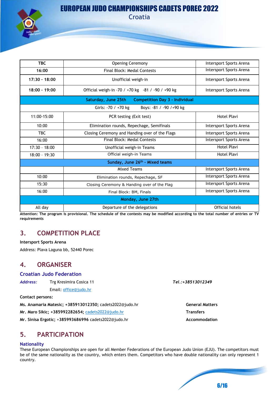

**Croatia** 

| <b>TBC</b>                                  | <b>Opening Ceremony</b>                                      | Intersport Sports Arena |  |
|---------------------------------------------|--------------------------------------------------------------|-------------------------|--|
| 16:00                                       | <b>Final Block: Medal Contests</b>                           | Intersport Sports Arena |  |
| $17:30 - 18:00$                             | Unofficial weigh-in                                          | Intersport Sports Arena |  |
| 18:00 - 19:00                               | Official weigh-in -70 / +70 kg -81 / -90 / +90 kg            | Intersport Sports Arena |  |
|                                             | Saturday, June 25th<br><b>Competition Day 3 - Individual</b> |                         |  |
|                                             | Girls: -70 / +70 kg<br>Boys: -81 / -90 / +90 kg              |                         |  |
| 11:00-15:00                                 | PCR testing (Exit test)                                      | <b>Hotel Plavi</b>      |  |
| 10:00                                       | Elimination rounds, Repechage, Semifinals                    | Intersport Sports Arena |  |
| TBC.                                        | Closing Ceremony and Handing over of the Flags               | Intersport Sports Arena |  |
| 16:00                                       | <b>Final Block: Medal Contests</b>                           | Intersport Sports Arena |  |
| $17:30 - 18:00$                             | Unofficial weigh-in Teams                                    | <b>Hotel Plavi</b>      |  |
| 18:00 - 19:30                               | Official weigh-in Teams                                      | Hotel Plavi             |  |
| Sunday, June 26 <sup>th</sup> - Mixed teams |                                                              |                         |  |
|                                             | <b>Mixed Teams</b>                                           | Intersport Sports Arena |  |
| 10:00                                       | Elimination rounds, Repechage, SF                            | Intersport Sports Arena |  |
| 15:30                                       | Closing Ceremony & Handing over of the Flag                  | Intersport Sports Arena |  |
| 16:00                                       | Final Block: BM, Finals                                      | Intersport Sports Arena |  |
| Monday, June 27th                           |                                                              |                         |  |
| All day                                     | Departure of the delegations                                 | <b>Official hotels</b>  |  |

**Attention: The program is provisional. The schedule of the contests may be modified according to the total number of entries or TV requirements**

## **3. COMPETITION PLACE**

#### **Intersport Sports Arena**

Address: Plava Laguna bb, 52440 Porec

## **4. ORGANISER**

#### **Croatian Judo Federation**

Email: [office@judo.hr](mailto:office@judo.hr)

**Contact persons:**

**Ms. Anamaria Matesic; +385913012350;** cadets2022@judo.hr **General Matters**

**Mr. Maro Sikic; +385992282654;** [cadets2022@judo.hr](mailto:cadets2022@judo.hr) **Transfers**

**Mr. Sinisa Ergotic;** +385993686996 cadets2022@judo.hr **Accommodation** 

## **5. PARTICIPATION**

#### **Nationality**

These European Championships are open for all Member Federations of the European Judo Union (EJU). The competitors must be of the same nationality as the country, which enters them. Competitors who have double nationality can only represent 1 country.

6/16

*Address:* Trg Kresimira Cosica 11 *Tel.:+38513012349*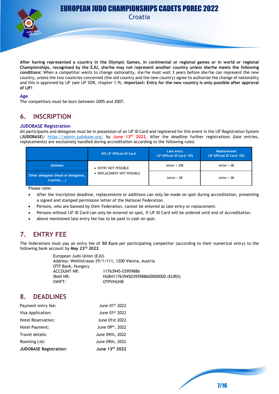Croatia



**After having represented a country in the Olympic Games, in continental or regional games or in world or regional Championships, recognised by the EJU, she/he may not represent another country unless she/he meets the following conditions:** When a competitor wants to change nationality, she/he must wait 3 years before she/he can represent the new country, unless the two countries concerned (the old country and the new country) agree to authorize the change of nationality and this is approved by IJF (see IJF SOR, chapter 1.9). **Important: Entry for the new country is only possible after approval of IJF!**

#### **Age**

The competitors must be born between 2005 and 2007.

## **6. INSCRIPTION**

#### **JUDOBASE Registration**

All participants and delegates must be in possession of an IJF ID Card and registered for this event in the IJF Registration System (**JUDOBASE**): <https://admin.judobase.org/> by **June 13th 2022.** After the deadline further registrations (late entries, replacements) are exclusively handled during accreditation according to the following rules:

|                                                    | NO IJF Official ID Card    | Late entry<br><b>IJF Official ID Card: YES</b> | Replacement<br><b>IJF Official ID Card: YES,</b> |
|----------------------------------------------------|----------------------------|------------------------------------------------|--------------------------------------------------|
| <b>Athletes</b>                                    | • ENTRY NOT POSSIBLE       | letter + $302$                                 | letter + $0 \epsilon$                            |
| Other delegates (Head of delegation,<br>Coaches, ) | • REPLACEMENT NOT POSSIBLE | letter + $0 \epsilon$                          | letter + $0 \epsilon$                            |

Please note:

- After the inscription deadline, replacements or additions can only be made on spot during accreditation, presenting a signed and stamped permission letter of the National Federation.
- Persons, who are banned by their Federation, cannot be entered as late entry or replacement.
- Persons without IJF ID Card can only be entered on spot, if IJF ID Card will be ordered until end of Accreditation.
- Above mentioned late entry fee has to be paid in cash on spot.

## **7. ENTRY FEE**

The federations must pay an entry fee of **50 Euro** per participating competitor (according to their numerical entry) to the following bank account by **May 23 rd 2022**

> European Judo Union (EJU) Address: Wehlistrasse 29/1/111, 1200 Vienna, Austria OTP Bank, Hungary ACCOUNT NR: 11763945-03959886 IBAN NR: HU84117639450395988600000000 (EURO) SWIFT: OTPVHUHB

## **8. DEADLINES**

| Payment entry fee:            | June 01st 2022  |
|-------------------------------|-----------------|
| Visa Application:             | June 01st 2022  |
| Hotel Reservation:            | June 01st 2022  |
| Hotel Payment:                | June 09th, 2022 |
| Travel details:               | June 09th, 2022 |
| Rooming List:                 | June 09th, 2022 |
| <b>JUDOBASE Registration:</b> | June 13th 2022  |

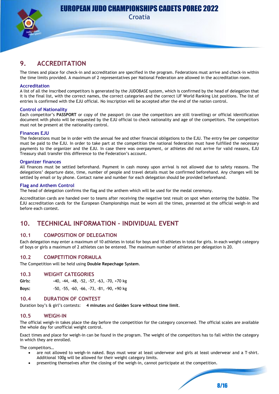

Croatia

## **9. ACCREDITATION**

The times and place for check-in and accreditation are specified in the program. Federations must arrive and check-in within the time limits provided. A maximum of 2 representatives per National Federation are allowed in the accreditation room.

#### **Accreditation**

A list of all the inscribed competitors is generated by the JUDOBASE system, which is confirmed by the head of delegation that it is the final list, with the correct names, the correct categories and the correct IJF World Ranking List positions. The list of entries is confirmed with the EJU official. No inscription will be accepted after the end of the nation control.

#### **Control of Nationality**

Each competitor's **PASSPORT** or copy of the passport (in case the competitors are still travelling) or official identification document with photo will be requested by the EJU official to check nationality and age of the competitors. The competitors must not be present at the nationality control.

#### **Finances EJU**

The federations must be in order with the annual fee and other financial obligations to the EJU. The entry fee per competitor must be paid to the EJU. In order to take part at the competition the national federation must have fulfilled the necessary payments to the organizer and the EJU. In case there was overpayment, or athletes did not arrive for valid reasons, EJU Treasury shall transfer this difference to the Federation's account.

#### **Organizer finances**

All finances must be settled beforehand. Payment in cash money upon arrival is not allowed due to safety reasons. The delegations' departure date, time, number of people and travel details must be confirmed beforehand. Any changes will be settled by email or by phone. Contact name and number for each delegation should be provided beforehand.

#### **Flag and Anthem Control**

The head of delegation confirms the flag and the anthem which will be used for the medal ceremony.

Accreditation cards are handed over to teams after receiving the negative test result on spot when entering the bubble. The EJU accreditation cards for the European Championships must be worn all the times, presented at the official weigh-in and before each contest.

## **10. TECHNICAL INFORMATION – INDIVIDUAL EVENT**

#### **10.1 COMPOSITION OF DELEGATION**

Each delegation may enter a maximum of 10 athletes in total for boys and 10 athletes in total for girls. In each weight category of boys or girls a maximum of 2 athletes can be entered. The maximum number of athletes per delegation is 20.

#### **10.2 COMPETITION FORMULA**

The Competition will be held using **Double Repechage System**.

#### **10.3 WEIGHT CATEGORIES**

**Girls: -**40, -44, -48, -52, -57, -63, -70, +70 kg

**Boys:** -50, -55, -60, -66, -73, -81, -90, +90 kg

#### **10.4 DURATION OF CONTEST**

Duration boy's & girl's contests: **4 minutes** and **Golden Score without time limit**.

#### **10.5 WEIGH-IN**

The official weigh-in takes place the day before the competition for the category concerned. The official scales are available the whole day for unofficial weight control.

Exact times and place for weigh-in can be found in the program. The weight of the competitors has to fall within the category in which they are enrolled.

The competitors…

- are not allowed to weigh-in naked. Boys must wear at least underwear and girls at least underwear and a T-shirt. Additional 100g will be allowed for their weight category limits.
- presenting themselves after the closing of the weigh-in, cannot participate at the competition.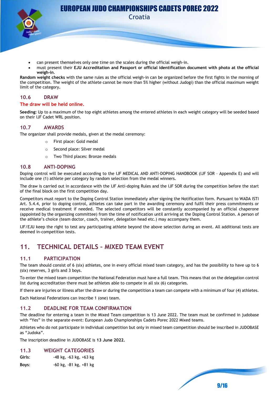Croatia

- can present themselves only one time on the scales during the official weigh-in.
- must present their **EJU Accreditation and Passport or official identification document with photo at the official weigh-in**.

**Random weight checks** with the same rules as the official weigh-in can be organized before the first fights in the morning of the competition. The weight of the athlete cannot be more than 5% higher (without Judogi) than the official maximum weight limit of the category**.**

#### **10.6 DRAW**

#### **The draw will be held online.**

**Seeding:** Up to a maximum of the top eight athletes among the entered athletes in each weight category will be seeded based on their IJF Cadet WRL position.

#### **10.7 AWARDS**

The organizer shall provide medals, given at the medal ceremony:

- o First place: Gold medal
- o Second place: Silver medal
- o Two Third places: Bronze medals

#### **10.8 ANTI-DOPING**

Doping control will be executed according to the IJF MEDICAL AND ANTI-DOPING HANDBOOK (IJF SOR – Appendix E) and will include one (1) athlete per category by random selection from the medal winners.

The draw is carried out in accordance with the IJF Anti-doping Rules and the IJF SOR during the competition before the start of the final block on the first competition day.

Competitors must report to the Doping Control Station immediately after signing the Notification form. Pursuant to WADA ISTI Art. 5.4.4, prior to doping control, athletes can take part in the awarding ceremony and fulfil their press commitments or receive medical treatment if needed. The selected competitors will be constantly accompanied by an official chaperone (appointed by the organizing committee) from the time of notification until arriving at the Doping Control Station. A person of the athlete's choice (team doctor, coach, trainer, delegation head etc.) may accompany them.

IJF/EJU keep the right to test any participating athlete beyond the above selection during an event. All additional tests are deemed in-competition tests.

## **11. TECHNICAL DETAILS – MIXED TEAM EVENT**

#### **11.1 PARTICIPATION**

The team should consist of 6 (six) athletes, one in every official mixed team category, and has the possibility to have up to 6 (six) reserves, 3 girls and 3 boys.

To enter the mixed team competition the National Federation must have a full team. This means that on the delegation control list during accreditation there must be athletes able to compete in all six (6) categories.

If there are injuries or illness after the draw or during the competition a team can compete with a minimum of four (4) athletes.

Each National Federations can inscribe 1 (one) team.

#### **11.2 DEADLINE FOR TEAM CONFIRMATION**

The deadline for entering a team in the Mixed Team competition is 13 June 2022. The team must be confirmed in judobase with "Yes" in the separate event: European Judo Championships Cadets Porec 2022 Mixed teams.

Athletes who do not participate in individual competition but only in mixed team competition should be inscribed in JUDOBASE as "Judoka".

The inscription deadline in JUDOBASE is **13 June 2022.**

#### **11.3 WEIGHT CATEGORIES**

| Girls: | -48 kg, -63 kg, +63 kg |  |
|--------|------------------------|--|
|        |                        |  |

**Boys**: -60 kg, -81 kg, +81 kg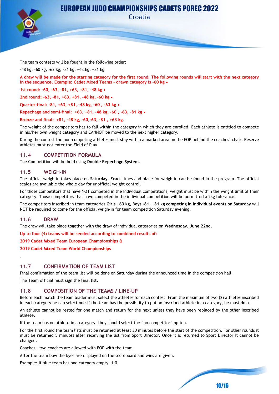

Croatia

The team contests will be fought in the following order:

-48 kg, -60 kg, -63 kg, -81 kg, +63 kg, +81 kg

**A draw will be made for the starting category for the first round. The following rounds will start with the next category in the sequence. Example: Cadet Mixed Teams - drawn category is -60 kg •** 

**1st round: -60, -63, -81, +63, +81, -48 kg •** 

**2nd round: -63, -81, +63, +81, -48 kg, -60 kg •** 

**Quarter-final: -81, +63, +81, -48 kg, -60 , -63 kg •** 

**Repechage and semi-final: +63, +81, -48 kg, -60 , -63, -81 kg •** 

**Bronze and final: +81, -48 kg, -60,-63, -81 , +63 kg**.

The weight of the competitors has to fall within the category in which they are enrolled. Each athlete is entitled to compete in his/her own weight category and CANNOT be moved to the next higher category.

During the contest the non-competing athletes must stay within a marked area on the FOP behind the coaches' chair. Reserve athletes must not enter the Field of Play

#### **11.4 COMPETITION FORMULA**

The Competition will be held using **Double Repechage System**.

#### **11.5 WEIGH-IN**

The official weigh-in takes place on **Saturday**. Exact times and place for weigh-in can be found in the program. The official scales are available the whole day for unofficial weight control.

For those competitors that have NOT competed in the individual competitions, weight must be within the weight limit of their category. Those competitors that have competed in the individual competition will be permitted a 2kg tolerance.

The competitors inscribed in team categories **Girls +63 kg, Boys -81, +81 kg competing in individual events on Saturday** will NOT be required to come for the official weigh-in for team competition Saturday evening.

#### **11.6 DRAW**

.

The draw will take place together with the draw of individual categories on **Wednesday, June 22nd**.

**Up to four (4) teams will be seeded according to combined results of:**

**2019 Cadet Mixed Team European Championships &**

**2019 Cadet Mixed Team World Championships**

#### **11.7 CONFIRMATION OF TEAM LIST**

Final confirmation of the team list will be done on **Saturday** during the announced time in the competition hall.

The Team official must sign the final list.

#### **11.8 COMPOSITION OF THE TEAMS / LINE-UP**

Before each match the team leader must select the athletes for each contest. From the maximum of two (2) athletes inscribed in each category he can select one.If the team has the possibility to put an inscribed athlete in a category, he must do so.

An athlete cannot be rested for one match and return for the next unless they have been replaced by the other inscribed athlete.

If the team has no athlete in a category, they should select the "no competitor" option.

For the first round the team lists must be returned at least 30 minutes before the start of the competition. For other rounds it must be returned 5 minutes after receiving the list from Sport Director. Once it is returned to Sport Director it cannot be changed.

10/16

Coaches: two coaches are allowed with FOP with the team.

After the team bow the byes are displayed on the scoreboard and wins are given.

Example: If blue team has one category empty: 1:0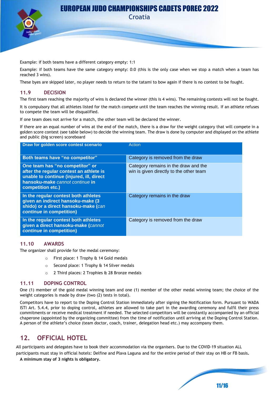

Croatia

Example: if both teams have a different category empty: 1:1

Example: if both teams have the same category empty: 0:0 (this is the only case when we stop a match when a team has reached 3 wins).

These byes are skipped later, no player needs to return to the tatami to bow again if there is no contest to be fought.

#### **11.9 DECISION**

The first team reaching the majority of wins is declared the winner (this is 4 wins). The remaining contests will not be fought.

It is compulsory that all athletes listed for the match compete until the team reaches the winning result. If an athlete refuses to compete the team will be disqualified.

If one team does not arrive for a match, the other team will be declared the winner.

If there are an equal number of wins at the end of the match, there is a draw for the weight category that will compete in a golden score contest (see table below) to decide the winning team. The draw is done by computer and displayed on the athlete and public (big screen) scoreboard

| Draw for golden score contest scenario                                                                                                                                         | Action                                                                          |
|--------------------------------------------------------------------------------------------------------------------------------------------------------------------------------|---------------------------------------------------------------------------------|
| Both teams have "no competitor"                                                                                                                                                | Category is removed from the draw                                               |
| One team has "no competitor" or<br>after the regular contest an athlete is<br>unable to continue (injured, ill, direct<br>hansoku-make cannot continue in<br>competition etc.) | Category remains in the draw and the<br>win is given directly to the other team |
| In the regular contest both athletes<br>given an indirect hansoku-make (3<br>shido) or a direct hansoku-make (can<br>continue in competition)                                  | Category remains in the draw                                                    |
| In the regular contest both athletes<br>given a direct hansoku-make (cannot<br>continue in competition)                                                                        | Category is removed from the draw                                               |

#### **11.10 AWARDS**

The organizer shall provide for the medal ceremony:

- o First place: 1 Trophy & 14 Gold medals
- o Second place: 1 Trophy & 14 Silver medals
- 2 Third places: 2 Trophies & 28 Bronze medals

#### **11.11 DOPING CONTROL**

One (1) member of the gold medal winning team and one (1) member of the other medal winning team; the choice of the weight categories is made by draw (two (2) tests in total).

Competitors have to report to the Doping Control Station immediately after signing the Notification form. Pursuant to WADA ISTI Art. 5.4.4, prior to doping control, athletes are allowed to take part in the awarding ceremony and fulfil their press commitments or receive medical treatment if needed. The selected competitors will be constantly accompanied by an official chaperone (appointed by the organizing committee) from the time of notification until arriving at the Doping Control Station. A person of the athlete's choice (team doctor, coach, trainer, delegation head etc.) may accompany them.

## **12. OFFICIAL HOTEL**

All participants and delegates have to book their accommodation via the organisers. Due to the COVID-19 situation ALL

participants must stay in official hotels: Delfine and Plava Laguna and for the entire period of their stay on HB or FB basis**.**

11/16

**A minimum stay of 3 nights is obligatory.**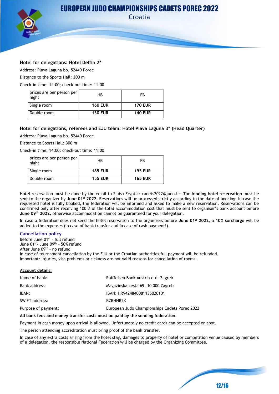



Address: Plava Laguna bb, 52440 Porec

Distance to the Sports Hall: 200 m

Check-in time: 14:00; check-out time: 11:00

| prices are per person per<br>night | НB             | FB             |
|------------------------------------|----------------|----------------|
| Single room                        | <b>160 EUR</b> | <b>170 EUR</b> |
| Double room                        | <b>130 EUR</b> | <b>140 EUR</b> |

#### **Hotel for delegations, referees and EJU team: Hotel Plava Laguna 3\* (Head Quarter)**

Address: Plava Laguna bb, 52440 Porec

Distance to Sports Hall: 300 m

Check-in time: 14:00; check-out time: 11:00

| prices are per person per<br>night | НB             | FB             |
|------------------------------------|----------------|----------------|
| Single room                        | <b>185 EUR</b> | <b>195 EUR</b> |
| Double room                        | <b>155 EUR</b> | <b>165 EUR</b> |

Hotel reservation must be done by the email to Sinisa Ergotic: cadets2022@judo.hr. The **binding hotel reservation** must be sent to the organizer by **June 01 st 2022.** Reservations will be processed strictly according to the date of booking. In case the requested hotel is fully booked, the federation will be informed and asked to make a new reservation. Reservations can be confirmed only after receiving 100 % of the total accommodation cost that must be sent to organiser's bank account before **June 09 th 2022**, otherwise accommodation cannot be guaranteed for your delegation.

In case a federation does not send the hotel reservation to the organizers before **June 01 st 2022**, a **10% surcharge** will be added to the expenses (in case of bank transfer and in case of cash payment!).

#### **Cancellation policy**

Before June 01<sup>st</sup> - full refund June 01<sup>st</sup>- June 09<sup>th</sup> - 50% refund After June 09<sup>th</sup> - no refund In case of tournament cancellation by the EJU or the Croatian authorities full payment will be refunded. Important: Injuries, visa problems or sickness are not valid reasons for cancellation of rooms.

#### **Account details:**

| Name of bank:       | Raiffeisen Bank Austria d.d. Zagreb           |
|---------------------|-----------------------------------------------|
| Bank address:       | Magazinska cesta 69, 10 000 Zagreb            |
| IBAN:               | IBAN: HR9424840081135020101                   |
| SWIFT address:      | RZBHHR2X                                      |
| Purpose of payment: | European Judo Championships Cadets Porec 2022 |

#### **All bank fees and money transfer costs must be paid by the sending federation.**

Payment in cash money upon arrival is allowed. Unfortunately no credit cards can be accepted on spot.

The person attending accreditation must bring proof of the bank transfer.

In case of any extra costs arising from the hotel stay, damages to property of hotel or competition venue caused by members of a delegation, the responsible National Federation will be charged by the Organizing Committee**.**

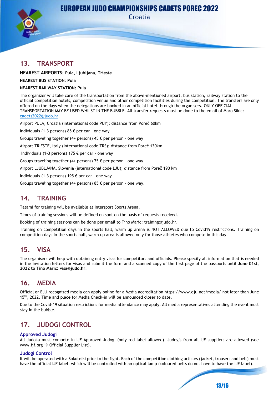

Croatia

## **13. TRANSPORT**

**NEAREST AIRPORTS: Pula, Ljubljana, Trieste**

#### **NEAREST BUS STATION: Pula**

#### **NEAREST RAILWAY STATION: Pula**

The organizer will take care of the transportation from the above-mentioned airport, bus station, railway station to the official competition hotels, competition venue and other competition facilities during the competition. The transfers are only offered on the days when the delegations are booked in an official hotel through the organisers. ONLY OFFICIAL TRANSPORTATION MAY BE USED WHILST IN THE BUBBLE. All transfer requests must be done to the email of Maro Sikic: [cadets2022@judo.hr.](mailto:cadets2022@judo.hr)

Airport PULA, Croatia (international code PUY); distance from Poreč 60km

Individuals (1-3 persons) 85 € per car – one way

Groups traveling together (4+ persons) 45  $\epsilon$  per person - one way

Airport TRIESTE, Italy (international code TRS); distance from Poreč 130km

Individuals (1-3 persons) 175 € per car – one way

Groups traveling together (4+ persons) 75 € per person – one way

Airport LJUBLJANA, Slovenia (international code LJU); distance from Poreč 190 km

Individuals (1-3 persons) 195 € per car – one way

Groups traveling together (4+ persons) 85  $\epsilon$  per person - one way.

### **14. TRAINING**

Tatami for training will be available at Intersport Sports Arena.

Times of training sessions will be defined on spot on the basis of requests received.

Booking of training sessions can be done per email to Tino Maric: training@judo.hr.

Training on competition days in the sports hall, warm up arena is NOT ALLOWED due to Covid19 restrictions. Training on competition days in the sports hall, warm up area is allowed only for those athletes who compete in this day.

## **15. VISA**

The organisers will help with obtaining entry visas for competitors and officials. Please specify all information that is needed in the invitation letters for visas and submit the form and a scanned copy of the first page of the passports until **June 01st, 2022 to Tino Maric: visa@judo.hr**.

## **16. MEDIA**

Official or EJU recognized media can apply online for a Media accreditation https://www.eju.net/media/ not later than June 15<sup>th</sup>, 2022. Time and place for Media Check-in will be announced closer to date.

Due to the Covid-19 situation restrictions for media attendance may apply. All media representatives attending the event must stay in the bubble.

## **17. JUDOGI CONTROL**

#### **Approved Judogi**

All Judoka must compete in IJF Approved Judogi (only red label allowed). Judogis from all IJF suppliers are allowed (see www.ijf.org  $\rightarrow$  Official Supplier List).

#### **Judogi Control**

It will be operated with a Sokuteiki prior to the fight. Each of the competition clothing articles (jacket, trousers and belt) must have the official IJF label, which will be controlled with an optical lamp (coloured belts do not have to have the IJF label).

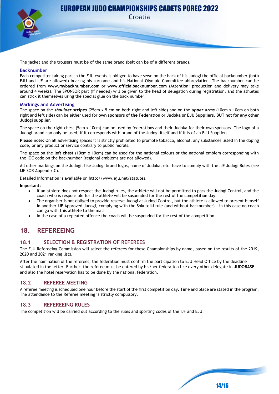

Croatia

The jacket and the trousers must be of the same brand (belt can be of a different brand).

#### **Backnumber**

Each competitor taking part in the EJU events is obliged to have sewn on the back of his Judogi the official backnumber (both EJU and IJF are allowed) bearing his surname and his National Olympic Committee abbreviation. The backnumber can be ordered from **[www.mybacknumber.com](http://www.mybacknumber.com/)** or **www.officialbacknumber.com** (Attention: production and delivery may take around 4 weeks). The SPONSOR part (if needed) will be given to the head of delegation during registration, and the athletes can stick it themselves using the special glue on the back number.

#### **Markings and Advertising**

The space on the *shoulder stripes* (25cm x 5 cm on both right and left side) and on the *upper arms* (10cm x 10cm on both right and left side) can be either used for **own sponsors of the Federation** or **Judoka or EJU Suppliers**, **BUT not for any other Judogi supplier**.

The space on the right chest (5cm x 10cm) can be used by federations and their Judoka for their own sponsors. The logo of a Judogi brand can only be used, if it corresponds with brand of the Judogi itself and if it is of an EJU Supplier.

**Please note**: On all advertising spaces it is strictly prohibited to promote tobacco, alcohol, any substances listed in the doping code, or any product or service contrary to public morals.

The space on the **left chest** (10cm x 10cm) can be used for the national colours or the national emblem corresponding with the IOC code on the backnumber (regional emblems are not allowed).

All other markings on the Judogi, like Judogi brand logos, name of Judoka, etc. have to comply with the IJF Judogi Rules (see IJF SOR Appendix C).

Detailed information is available on [http://www.eju.net/statutes.](http://www.eju.net/statutes)

**Important:**

- If an athlete does not respect the Judogi rules, the athlete will not be permitted to pass the Judogi Control, and the coach who is responsible for the athlete will be suspended for the rest of the competition day.
- The organiser is not obliged to provide reserve Judogi at Judogi Control, but the athlete is allowed to present himself in another IJF Approved Judogi, complying with the Sokuteiki rule (and without backnumber) - in this case no coach can go with this athlete to the mat!
- In the case of a repeated offence the coach will be suspended for the rest of the competition.

## **18. REFEREEING**

#### **18.1 SELECTION & REGISTRATION OF REFEREES**

The EJU Refereeing Commission will select the referees for these Championships by name, based on the results of the 2019, 2020 and 2021 ranking lists.

After the nomination of the referees, the federation must confirm the participation to EJU Head Office by the deadline stipulated in the letter. Further, the referee must be entered by his/her federation like every other delegate in **JUDOBASE** and also the hotel reservation has to be done by the national federation.

#### **18.2 REFEREE MEETING**

A referee meeting is scheduled one hour before the start of the first competition day. Time and place are stated in the program. The attendance to the Referee meeting is strictly compulsory.

#### **18.3 REFEREEING RULES**

The competition will be carried out according to the rules and sporting codes of the IJF and EJU.

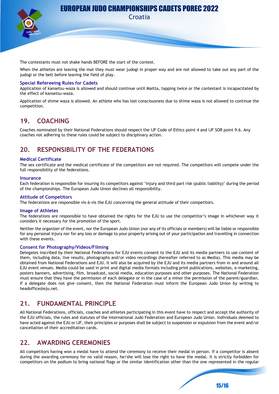

Croatia

The contestants must not shake hands BEFORE the start of the contest.

When the athletes are leaving the mat they must wear judogi in proper way and are not allowed to take out any part of the judogi or the belt before leaving the field of play.

#### **Special Refereeing Rules for Cadets**

Application of kansetsu-waza is allowed and should continue until Maitta, tapping twice or the contestant is incapacitated by the effect of kansetsu-waza.

Application of shime waza is allowed. An athlete who has lost consciousness due to shime waza is not allowed to continue the competition.

## **19. COACHING**

Coaches nominated by their National Federations should respect the IJF Code of Ethics point 4 and IJF SOR point 9.6. Any coaches not adhering to these rules could be subject to disciplinary action.

## **20. RESPONSIBILITY OF THE FEDERATIONS**

#### **Medical Certificate**

The sex certificate and the medical certificate of the competitors are not required. The competitors will compete under the full responsibility of the federations.

#### **Insurance**

Each federation is responsible for insuring its competitors against 'injury and third part risk (public liability)' during the period of the championships. The European Judo Union declines all responsibility.

#### **Attitude of Competitors**

The federations are responsible vis-à-vis the EJU concerning the general attitude of their competitors.

#### **Image of Athletes**

The federations are responsible to have obtained the rights for the EJU to use the competitor's image in whichever way it considers it necessary for the promotion of the sport.

Neither the organizer of the event, nor the European Judo Union (nor any of its officials or members) will be liable or responsible for any personal injury nor for any loss or damage to your property arising out of your participation and travelling in connection with these events.

#### **Consent for Photography/Videos/Filming**

Delegates inscribed by their National Federations for EJU events consent to the EJU and its media partners to use content of them, including data, live results, photographs and/or video recordings (hereafter referred to as Media). This media may be obtained from National Federations and EJU. It will also be acquired by the EJU and its media partners from in and around all EJU event venues. Media could be used in print and digital media formats including print publications, websites, e-marketing, posters banners, advertising, film, broadcast, social media, education purposes and other purposes. The National Federation must ensure that they have the permission of each delegate or in the case of a minor the permission of the parent/guardian. If a delegate does not give consent, then the National Federation must inform the European Judo Union by writing to headoffice@eju.net.

## **21. FUNDAMENTAL PRINCIPLE**

All National Federations, officials, coaches and athletes participating in this event have to respect and accept the authority of the EJU officials, the rules and statutes of the International Judo Federation and European Judo Union. Individuals deemed to have acted against the EJU or IJF, their principles or purposes shall be subject to suspension or expulsion from the event and/or cancellation of their accreditation cards.

## **22. AWARDING CEREMONIES**

All competitors having won a medal have to attend the ceremony to receive their medal in person. If a competitor is absent during the awarding ceremony for no valid reason, he/she will lose the right to have the medal. It is strictly forbidden for competitors on the podium to bring national flags or the similar identification other than the one represented in the regular